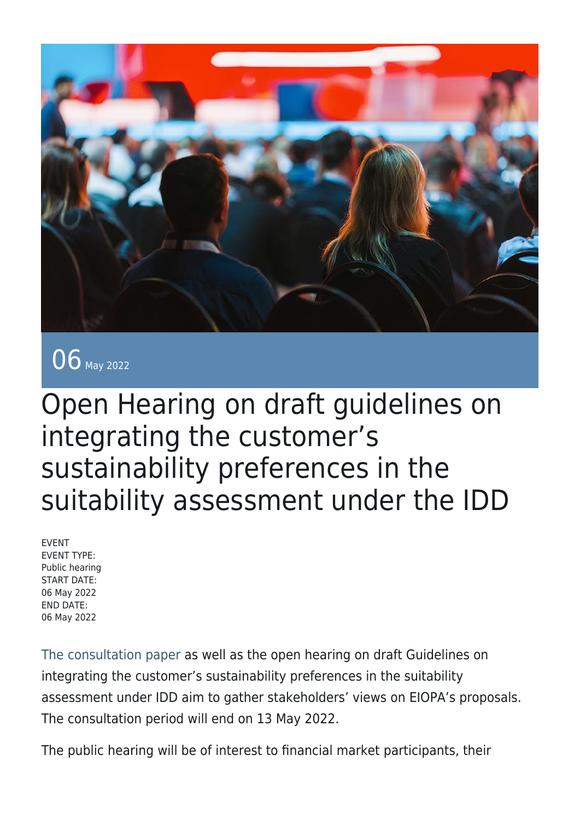

06 May 2022

## Open Hearing on draft guidelines on integrating the customer's sustainability preferences in the suitability assessment under the IDD

EVENT EVENT TYPE: Public hearing START DATE: 06 May 2022 END DATE: 06 May 2022

[The consultation paper](https://www.eiopa.europa.eu/document-library/consultation/public-consultation-draft-guidelines-integrating-customer%E2%80%99s) as well as the open hearing on draft Guidelines on integrating the customer's sustainability preferences in the suitability assessment under IDD aim to gather stakeholders' views on EIOPA's proposals. The consultation period will end on 13 May 2022.

The public hearing will be of interest to financial market participants, their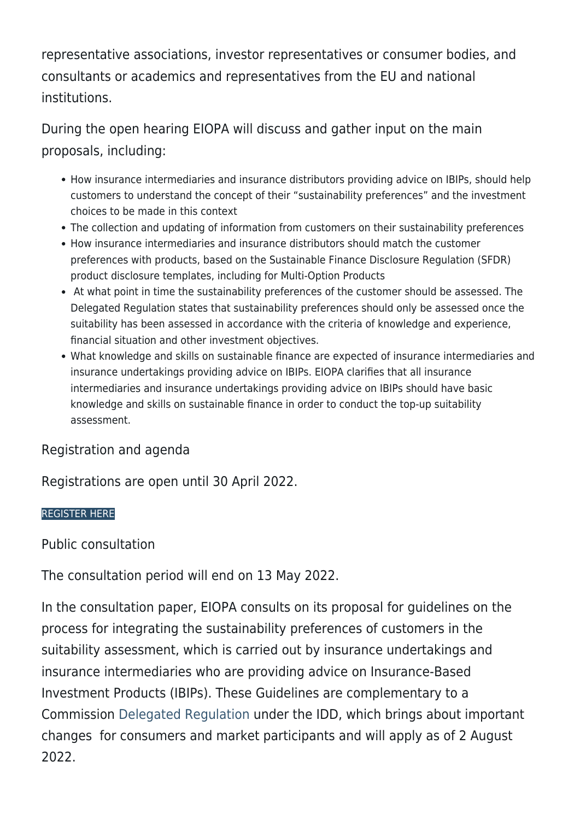representative associations, investor representatives or consumer bodies, and consultants or academics and representatives from the EU and national institutions.

During the open hearing EIOPA will discuss and gather input on the main proposals, including:

- How insurance intermediaries and insurance distributors providing advice on IBIPs, should help customers to understand the concept of their "sustainability preferences" and the investment choices to be made in this context
- The collection and updating of information from customers on their sustainability preferences
- How insurance intermediaries and insurance distributors should match the customer preferences with products, based on the Sustainable Finance Disclosure Regulation (SFDR) product disclosure templates, including for Multi-Option Products
- At what point in time the sustainability preferences of the customer should be assessed. The Delegated Regulation states that sustainability preferences should only be assessed once the suitability has been assessed in accordance with the criteria of knowledge and experience, financial situation and other investment objectives.
- What knowledge and skills on sustainable finance are expected of insurance intermediaries and insurance undertakings providing advice on IBIPs. EIOPA clarifies that all insurance intermediaries and insurance undertakings providing advice on IBIPs should have basic knowledge and skills on sustainable finance in order to conduct the top-up suitability assessment.

## Registration and agenda

Registrations are open until 30 April 2022.

## [REGISTER HERE](https://www.eiopa.europa.eu/content/event-registration-form-1_en)

Public consultation

The consultation period will end on 13 May 2022.

In the consultation paper, EIOPA consults on its proposal for guidelines on the process for integrating the sustainability preferences of customers in the suitability assessment, which is carried out by insurance undertakings and insurance intermediaries who are providing advice on Insurance-Based Investment Products (IBIPs). These Guidelines are complementary to a Commission [Delegated Regulation](https://eur-lex.europa.eu/legal-content/EN/TXT/?toc=OJ%3AL%3A2021%3A277%3ATOC&uri=uriserv%3AOJ.L_.2021.277.01.0018.01.ENG) under the IDD, which brings about important changes for consumers and market participants and will apply as of 2 August 2022.